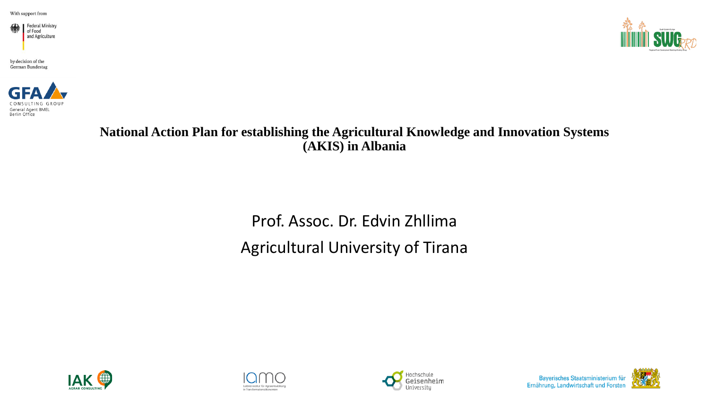



by decision of the **German Bundestag** 



**National Action Plan for establishing the Agricultural Knowledge and Innovation Systems (AKIS) in Albania**

> Prof. Assoc. Dr. Edvin Zhllima Agricultural University of Tirana







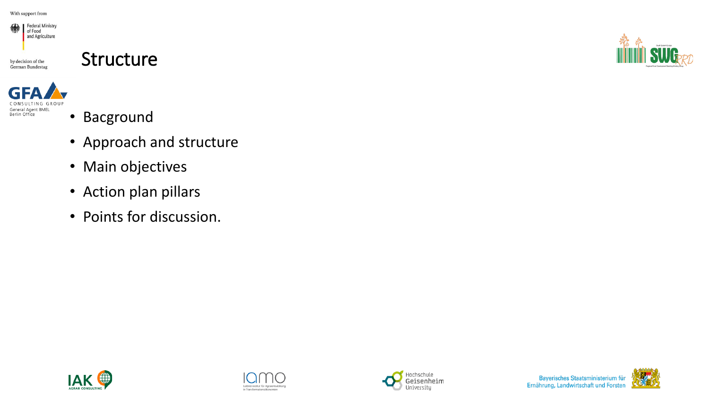

#### Structure



- Bacground
- Approach and structure
- Main objectives
- Action plan pillars
- Points for discussion.









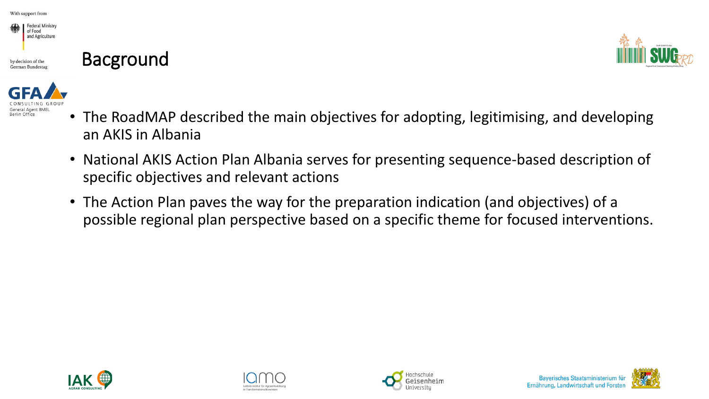

### Bacground





- The RoadMAP described the main objectives for adopting, legitimising, and developing an AKIS in Albania
- National AKIS Action Plan Albania serves for presenting sequence-based description of specific objectives and relevant actions
- The Action Plan paves the way for the preparation indication (and objectives) of a possible regional plan perspective based on a specific theme for focused interventions.







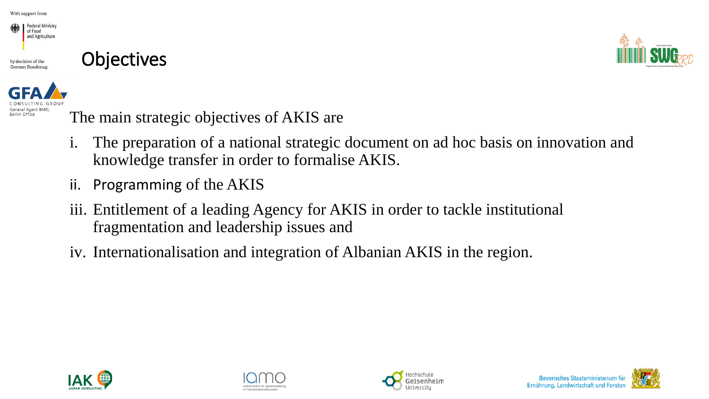Berlin Office





The main strategic objectives of AKIS are

- i. The preparation of a national strategic document on ad hoc basis on innovation and knowledge transfer in order to formalise AKIS.
- ii. Programming of the AKIS
- iii. Entitlement of a leading Agency for AKIS in order to tackle institutional fragmentation and leadership issues and
- iv. Internationalisation and integration of Albanian AKIS in the region.







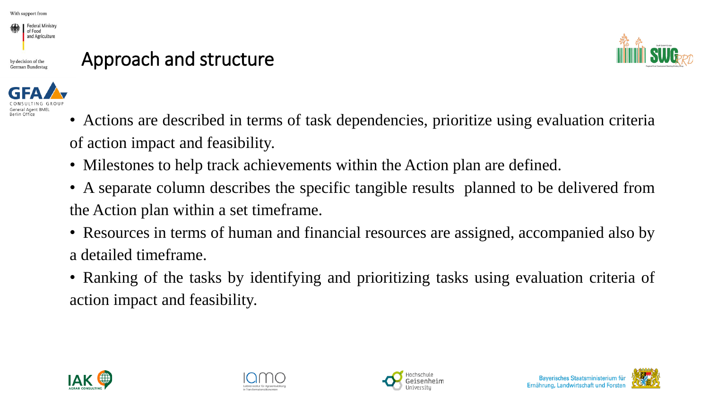

### Approach and structure





- Actions are described in terms of task dependencies, prioritize using evaluation criteria of action impact and feasibility.
- Milestones to help track achievements within the Action plan are defined.
- A separate column describes the specific tangible results planned to be delivered from the Action plan within a set timeframe.
- Resources in terms of human and financial resources are assigned, accompanied also by a detailed timeframe.
- Ranking of the tasks by identifying and prioritizing tasks using evaluation criteria of action impact and feasibility.









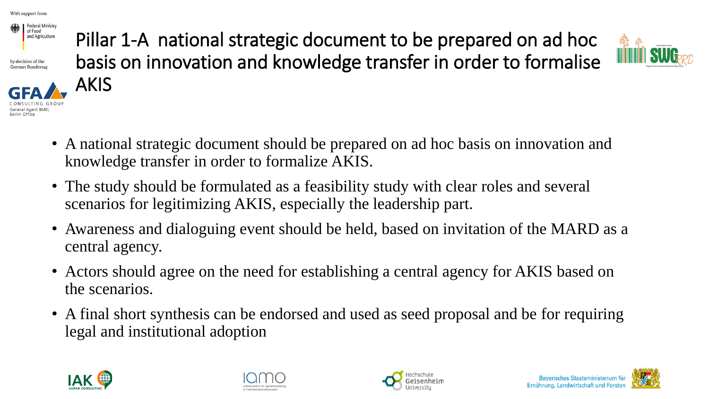

by decision of the German Bundestas

Berlin Office



Pillar 1-A national strategic document to be prepared on ad hoc basis on innovation and knowledge transfer in order to formalise



- A national strategic document should be prepared on ad hoc basis on innovation and knowledge transfer in order to formalize AKIS.
- The study should be formulated as a feasibility study with clear roles and several scenarios for legitimizing AKIS, especially the leadership part.
- Awareness and dialoguing event should be held, based on invitation of the MARD as a central agency.
- Actors should agree on the need for establishing a central agency for AKIS based on the scenarios.
- A final short synthesis can be endorsed and used as seed proposal and be for requiring legal and institutional adoption







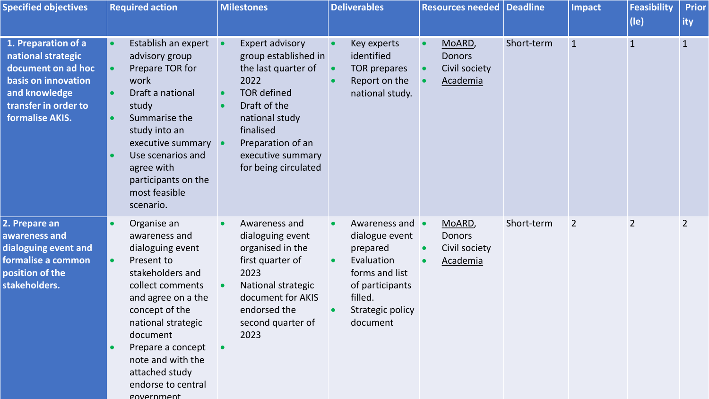| <b>Specified objectives</b>                                                                                                                        | <b>Required action</b>                                                                                                                                                                                                                                                                        | <b>Milestones</b>                                                                                                                                                                                                    | <b>Deliverables</b>                                                                                                                       | <b>Resources needed Deadline</b>                     |            | <b>Impact</b> | <b>Feasibility</b><br>$($ le $)$ | <b>Prior</b><br>ity |
|----------------------------------------------------------------------------------------------------------------------------------------------------|-----------------------------------------------------------------------------------------------------------------------------------------------------------------------------------------------------------------------------------------------------------------------------------------------|----------------------------------------------------------------------------------------------------------------------------------------------------------------------------------------------------------------------|-------------------------------------------------------------------------------------------------------------------------------------------|------------------------------------------------------|------------|---------------|----------------------------------|---------------------|
| 1. Preparation of a<br>national strategic<br>document on ad hoc<br>basis on innovation<br>and knowledge<br>transfer in order to<br>formalise AKIS. | Establish an expert<br>advisory group<br>Prepare TOR for<br>work<br>Draft a national<br>study<br>Summarise the<br>study into an<br>executive summary<br>Use scenarios and<br>$\bullet$<br>agree with<br>participants on the<br>most feasible<br>scenario.                                     | <b>Expert advisory</b><br>group established in<br>the last quarter of<br>2022<br><b>TOR defined</b><br>Draft of the<br>national study<br>finalised<br>Preparation of an<br>executive summary<br>for being circulated | Key experts<br>identified<br><b>TOR prepares</b><br>Report on the<br>national study.                                                      | MoARD,<br><b>Donors</b><br>Civil society<br>Academia | Short-term | $\mathbf{1}$  | $\mathbf{1}$                     | $\mathbf{1}$        |
| 2. Prepare an<br>awareness and<br>dialoguing event and<br>formalise a common<br>position of the<br>stakeholders.                                   | Organise an<br>awareness and<br>dialoguing event<br>Present to<br>$\bullet$<br>stakeholders and<br>collect comments<br>and agree on a the<br>concept of the<br>national strategic<br>document<br>Prepare a concept<br>note and with the<br>attached study<br>endorse to central<br>government | Awareness and<br>dialoguing event<br>organised in the<br>first quarter of<br>2023<br>National strategic<br>document for AKIS<br>endorsed the<br>second quarter of<br>2023                                            | Awareness and<br>dialogue event<br>prepared<br>Evaluation<br>forms and list<br>of participants<br>filled.<br>Strategic policy<br>document | MoARD,<br><b>Donors</b><br>Civil society<br>Academia | Short-term | 2             | $\overline{2}$                   | $\overline{2}$      |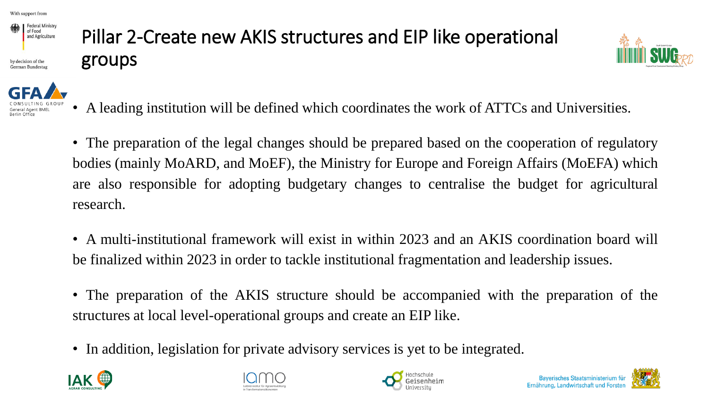

German Bundesta

### Pillar 2-Create new AKIS structures and EIP like operational groups



- A leading institution will be defined which coordinates the work of ATTCs and Universities.
- The preparation of the legal changes should be prepared based on the cooperation of regulatory bodies (mainly MoARD, and MoEF), the Ministry for Europe and Foreign Affairs (MoEFA) which are also responsible for adopting budgetary changes to centralise the budget for agricultural research.
- A multi-institutional framework will exist in within 2023 and an AKIS coordination board will be finalized within 2023 in order to tackle institutional fragmentation and leadership issues.
- The preparation of the AKIS structure should be accompanied with the preparation of the structures at local level-operational groups and create an EIP like.
- In addition, legislation for private advisory services is yet to be integrated.







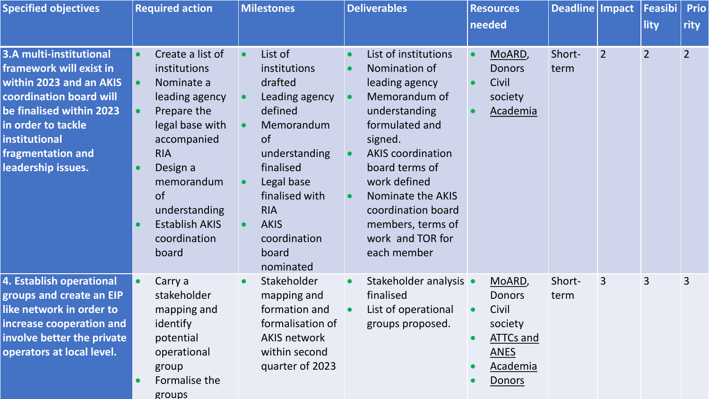| <b>Specified objectives</b>                                                                                                                                                                                                   | <b>Required action</b>                                                                                                                                                                                                                                                                        | <b>Milestones</b>                                                                                                                                                                                                           | <b>Deliverables</b>                                                                                                                                                                                                                                                                            | <b>Resources</b><br>needed                                                                                  | Deadline Impact |                | Feasibi <br>lity | <b>Prio</b><br>rity |
|-------------------------------------------------------------------------------------------------------------------------------------------------------------------------------------------------------------------------------|-----------------------------------------------------------------------------------------------------------------------------------------------------------------------------------------------------------------------------------------------------------------------------------------------|-----------------------------------------------------------------------------------------------------------------------------------------------------------------------------------------------------------------------------|------------------------------------------------------------------------------------------------------------------------------------------------------------------------------------------------------------------------------------------------------------------------------------------------|-------------------------------------------------------------------------------------------------------------|-----------------|----------------|------------------|---------------------|
| <b>3.A multi-institutional</b><br>framework will exist in<br>within 2023 and an AKIS<br>coordination board will<br>be finalised within 2023<br>in order to tackle<br>institutional<br>fragmentation and<br>leadership issues. | Create a list of<br>institutions<br>$\bullet$<br>Nominate a<br>leading agency<br>Prepare the<br>$\bullet$<br>legal base with<br>accompanied<br><b>RIA</b><br>Design a<br>$\bullet$<br>memorandum<br><b>of</b><br>understanding<br><b>Establish AKIS</b><br>$\bullet$<br>coordination<br>board | List of<br>institutions<br>drafted<br>Leading agency<br>defined<br>Memorandum<br><b>of</b><br>understanding<br>finalised<br>Legal base<br>finalised with<br><b>RIA</b><br><b>AKIS</b><br>coordination<br>board<br>nominated | List of institutions<br>Nomination of<br>leading agency<br>Memorandum of<br>understanding<br>formulated and<br>signed.<br><b>AKIS</b> coordination<br>board terms of<br>work defined<br><b>Nominate the AKIS</b><br>coordination board<br>members, terms of<br>work and TOR for<br>each member | MoARD,<br><b>Donors</b><br>Civil<br>society<br><b>Academia</b>                                              | Short-<br>term  | $\overline{2}$ | $\overline{2}$   | $\overline{2}$      |
| <b>4. Establish operational</b><br>groups and create an EIP<br>like network in order to<br>increase cooperation and<br>involve better the private<br>operators at local level.                                                | Carry a<br>$\bullet$<br>stakeholder<br>mapping and<br>identify<br>potential<br>operational<br>group<br>Formalise the<br>groups                                                                                                                                                                | Stakeholder<br>$\bullet$<br>mapping and<br>formation and<br>formalisation of<br><b>AKIS network</b><br>within second<br>quarter of 2023                                                                                     | Stakeholder analysis •<br>finalised<br>List of operational<br>groups proposed.                                                                                                                                                                                                                 | MoARD,<br><b>Donors</b><br>Civil<br>society<br><b>ATTCs and</b><br><b>ANES</b><br><b>Academia</b><br>Donors | Short-<br>term  | 3              | 3                | 3                   |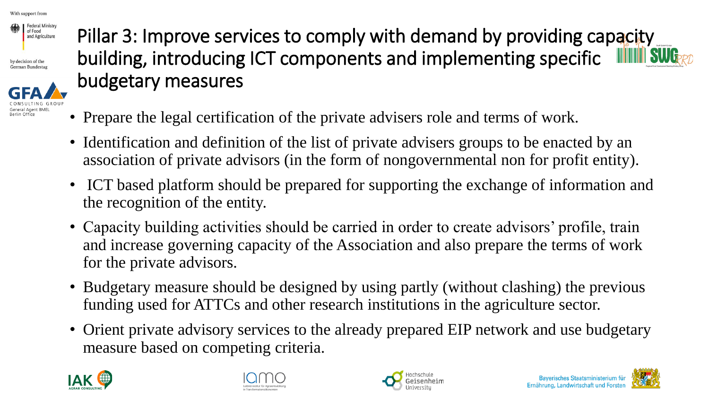

by decision of the German Bundesta



Pillar 3: Improve services to comply with demand by providing capacity building, introducing ICT components and implementing specific budgetary measures

- Prepare the legal certification of the private advisers role and terms of work.
- Identification and definition of the list of private advisers groups to be enacted by an association of private advisors (in the form of nongovernmental non for profit entity).
- ICT based platform should be prepared for supporting the exchange of information and the recognition of the entity.
- Capacity building activities should be carried in order to create advisors' profile, train and increase governing capacity of the Association and also prepare the terms of work for the private advisors.
- Budgetary measure should be designed by using partly (without clashing) the previous funding used for ATTCs and other research institutions in the agriculture sector.
- Orient private advisory services to the already prepared EIP network and use budgetary measure based on competing criteria.







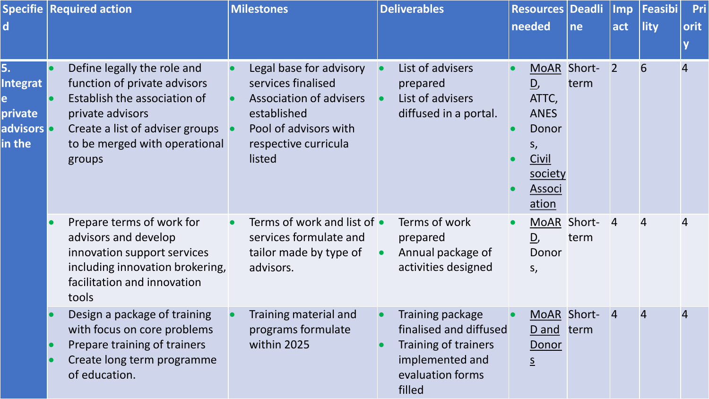| $\mathsf{d}$                                                  | <b>Specifie   Required action</b>                                                                                                                                                             | <b>Milestones</b>                                                                                                                                                      | <b>Deliverables</b>                                                                                                 | <b>Resources Deadli</b><br>needed                                                               | ne             | <b>Imp</b><br>act | Feasibi<br>lity | Pri<br>orit<br>$\overline{\mathbf{V}}$ |
|---------------------------------------------------------------|-----------------------------------------------------------------------------------------------------------------------------------------------------------------------------------------------|------------------------------------------------------------------------------------------------------------------------------------------------------------------------|---------------------------------------------------------------------------------------------------------------------|-------------------------------------------------------------------------------------------------|----------------|-------------------|-----------------|----------------------------------------|
| 5.<br><b>Integrat</b><br>e<br>private<br>advisors o<br>in the | Define legally the role and<br>function of private advisors<br>Establish the association of<br>private advisors<br>Create a list of adviser groups<br>to be merged with operational<br>groups | Legal base for advisory<br>$\bullet$<br>services finalised<br><b>Association of advisers</b><br>established<br>Pool of advisors with<br>respective curricula<br>listed | List of advisers<br>prepared<br>List of advisers<br>diffused in a portal.                                           | <b>MoAR</b><br>D,<br>ATTC,<br><b>ANES</b><br>Donor<br>S,<br>Civil<br>society<br>Associ<br>ation | Short-<br>term | $\overline{2}$    | 6               | $\overline{4}$                         |
|                                                               | Prepare terms of work for<br>advisors and develop<br>innovation support services<br>including innovation brokering,<br>facilitation and innovation<br>tools                                   | Terms of work and list of •<br>$\bullet$<br>services formulate and<br>tailor made by type of<br>advisors.                                                              | Terms of work<br>prepared<br>Annual package of<br>activities designed                                               | MoAR Short-<br>D,<br>Donor<br>$S_{1}$                                                           | term           | $\overline{4}$    | 4               | 4                                      |
|                                                               | Design a package of training<br>with focus on core problems<br>Prepare training of trainers<br>Create long term programme<br>of education.                                                    | Training material and<br>$\bullet$<br>programs formulate<br>within 2025                                                                                                | Training package<br>finalised and diffused<br>Training of trainers<br>implemented and<br>evaluation forms<br>filled | MoAR Short-<br>D and<br>Donor<br>$\overline{S}$                                                 | term           | 4                 | $\overline{4}$  | $\overline{4}$                         |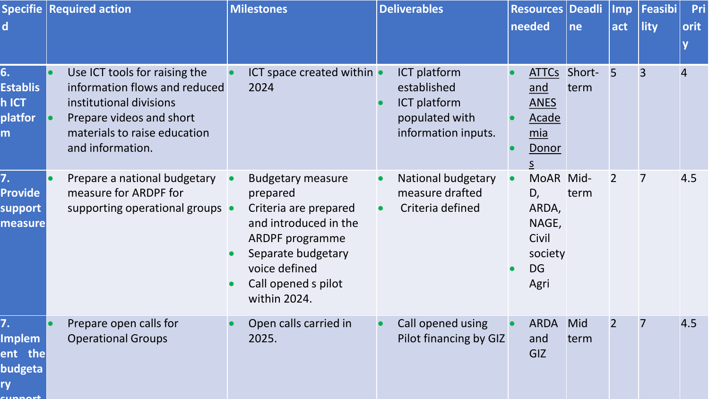| $\mathsf{d}$                                                     | <b>Specifie   Required action</b>                                                                                                                                         | <b>Milestones</b>                                                                                                                                                                                           | <b>Deliverables</b>                                                                  | <b>Resources Deadli</b><br>needed                                          | ne             | <b>Imp</b><br>act | Feasibi<br>lity | Pri<br>orit<br>$\mathbf v$ |
|------------------------------------------------------------------|---------------------------------------------------------------------------------------------------------------------------------------------------------------------------|-------------------------------------------------------------------------------------------------------------------------------------------------------------------------------------------------------------|--------------------------------------------------------------------------------------|----------------------------------------------------------------------------|----------------|-------------------|-----------------|----------------------------|
| 6.<br><b>Establis</b><br>h ICT<br>platfor<br>m                   | Use ICT tools for raising the<br>information flows and reduced<br>institutional divisions<br>Prepare videos and short<br>materials to raise education<br>and information. | ICT space created within $\bullet$<br>2024                                                                                                                                                                  | ICT platform<br>established<br>ICT platform<br>populated with<br>information inputs. | <b>ATTCs</b><br>and<br><b>ANES</b><br>Acade<br>mia<br>Donor                | Short-<br>term | 5                 | $\overline{3}$  | 4                          |
| 7.<br>Provide<br>support<br>measure                              | Prepare a national budgetary<br>measure for ARDPF for<br>supporting operational groups •                                                                                  | <b>Budgetary measure</b><br>$\bullet$<br>prepared<br>Criteria are prepared<br>and introduced in the<br><b>ARDPF</b> programme<br>Separate budgetary<br>voice defined<br>Call opened s pilot<br>within 2024. | National budgetary<br>measure drafted<br>Criteria defined<br>$\bullet$               | MoAR Mid-<br>D,<br>ARDA,<br>NAGE,<br>Civil<br>society<br><b>DG</b><br>Agri | term           | $\overline{2}$    | 7               | 4.5                        |
| 7.<br><b>Implem</b><br>ent the<br>budgeta<br>ry<br><b>SUBRAN</b> | Prepare open calls for<br><b>Operational Groups</b>                                                                                                                       | Open calls carried in<br>$\bullet$<br>2025.                                                                                                                                                                 | Call opened using<br>Pilot financing by GIZ                                          | <b>ARDA</b><br>and<br>GIZ                                                  | Mid<br>term    | $\overline{2}$    | 7               | 4.5                        |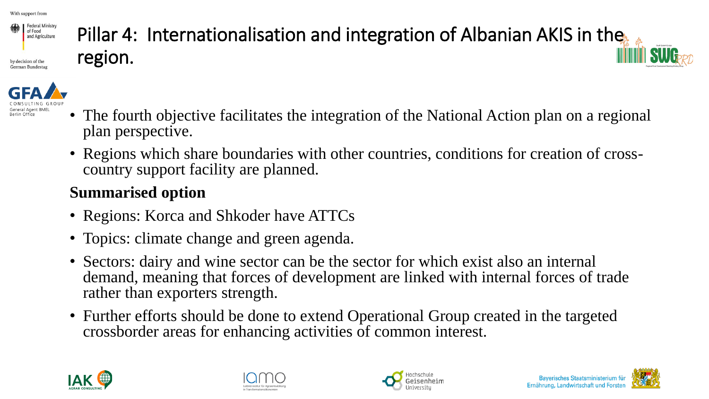

German Bundest

## Pillar 4: Internationalisation and integration of Albanian AKIS in the region.



- The fourth objective facilitates the integration of the National Action plan on a regional plan perspective.
- Regions which share boundaries with other countries, conditions for creation of crosscountry support facility are planned.

#### **Summarised option**

- Regions: Korca and Shkoder have ATTCs
- Topics: climate change and green agenda.
- Sectors: dairy and wine sector can be the sector for which exist also an internal demand, meaning that forces of development are linked with internal forces of trade rather than exporters strength.
- Further efforts should be done to extend Operational Group created in the targeted crossborder areas for enhancing activities of common interest.







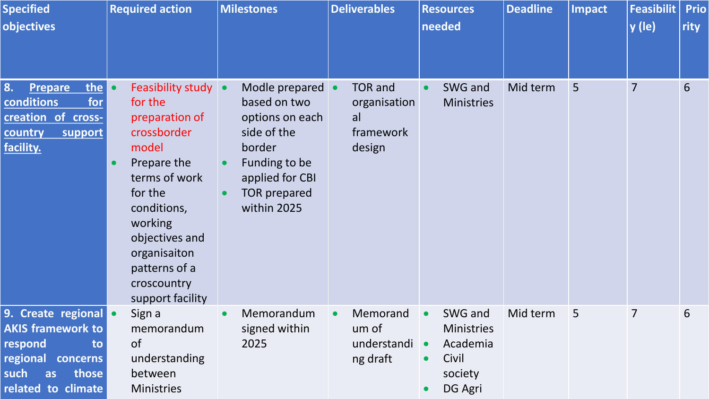| <b>Specified</b><br>objectives                                                                                                      | <b>Required action</b>                                                                                                                                                                                                                     | <b>Milestones</b>                                                                                                                                      | <b>Deliverables</b>                                         | <b>Resources</b><br>needed                                                           | <b>Deadline</b> | <b>Impact</b> | <b>Feasibilit</b><br>$ y $ (le) | <b>Prio</b><br>rity |
|-------------------------------------------------------------------------------------------------------------------------------------|--------------------------------------------------------------------------------------------------------------------------------------------------------------------------------------------------------------------------------------------|--------------------------------------------------------------------------------------------------------------------------------------------------------|-------------------------------------------------------------|--------------------------------------------------------------------------------------|-----------------|---------------|---------------------------------|---------------------|
| 8.<br>the<br><b>Prepare</b><br>for<br>conditions<br>creation of cross-<br>country<br>support<br>facility.                           | <b>Feasibility study •</b><br>for the<br>preparation of<br>crossborder<br>model<br>Prepare the<br>terms of work<br>for the<br>conditions,<br>working<br>objectives and<br>organisaiton<br>patterns of a<br>croscountry<br>support facility | Modle prepared •<br>based on two<br>options on each<br>side of the<br>border<br>Funding to be<br>applied for CBI<br><b>TOR prepared</b><br>within 2025 | <b>TOR</b> and<br>organisation<br>al<br>framework<br>design | SWG and<br><b>Ministries</b>                                                         | Mid term        | 5             | 7                               | 6                   |
| 9. Create regional •<br><b>AKIS framework to</b><br>respond<br>to<br>regional concerns<br>such<br>those<br>as<br>related to climate | Sign a<br>memorandum<br><b>of</b><br>understanding<br>between<br><b>Ministries</b>                                                                                                                                                         | Memorandum<br>signed within<br>2025                                                                                                                    | Memorand<br>$\bullet$<br>um of<br>understandi<br>ng draft   | SWG and<br><b>Ministries</b><br>Academia<br>Civil<br>$\bullet$<br>society<br>DG Agri | Mid term        | 5             | $\overline{7}$                  | 6                   |